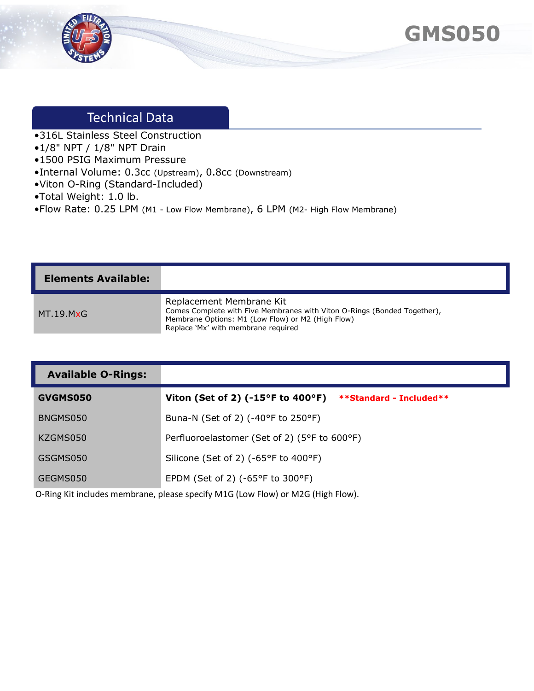



## Technical Data

- •316L Stainless Steel Construction
- •1/8" NPT / 1/8" NPT Drain
- •1500 PSIG Maximum Pressure
- •Internal Volume: 0.3cc (Upstream), 0.8cc (Downstream)
- •Viton O-Ring (Standard-Included)
- •Total Weight: 1.0 lb.
- •Flow Rate: 0.25 LPM (M1 Low Flow Membrane), 6 LPM (M2- High Flow Membrane)

| <b>Elements Available:</b> |                                                                                                                                                                                                  |
|----------------------------|--------------------------------------------------------------------------------------------------------------------------------------------------------------------------------------------------|
| MT 19.M $\times$ G         | Replacement Membrane Kit<br>Comes Complete with Five Membranes with Viton O-Rings (Bonded Together),<br>Membrane Options: M1 (Low Flow) or M2 (High Flow)<br>Replace 'Mx' with membrane required |

| <b>Available O-Rings:</b> |                                                                                       |
|---------------------------|---------------------------------------------------------------------------------------|
| GVGMS050                  | Viton (Set of 2) $(-15^{\circ}F \text{ to } 400^{\circ}F)$<br>**Standard - Included** |
| BNGMS050                  | Buna-N (Set of 2) (-40°F to 250°F)                                                    |
| KZGMS050                  | Perfluoroelastomer (Set of 2) (5°F to 600°F)                                          |
| GSGMS050                  | Silicone (Set of 2) (-65°F to 400°F)                                                  |
| GEGMS050                  | EPDM (Set of 2) ( $-65^{\circ}$ F to 300 $^{\circ}$ F)                                |

O-Ring Kit includes membrane, please specify M1G (Low Flow) or M2G (High Flow).